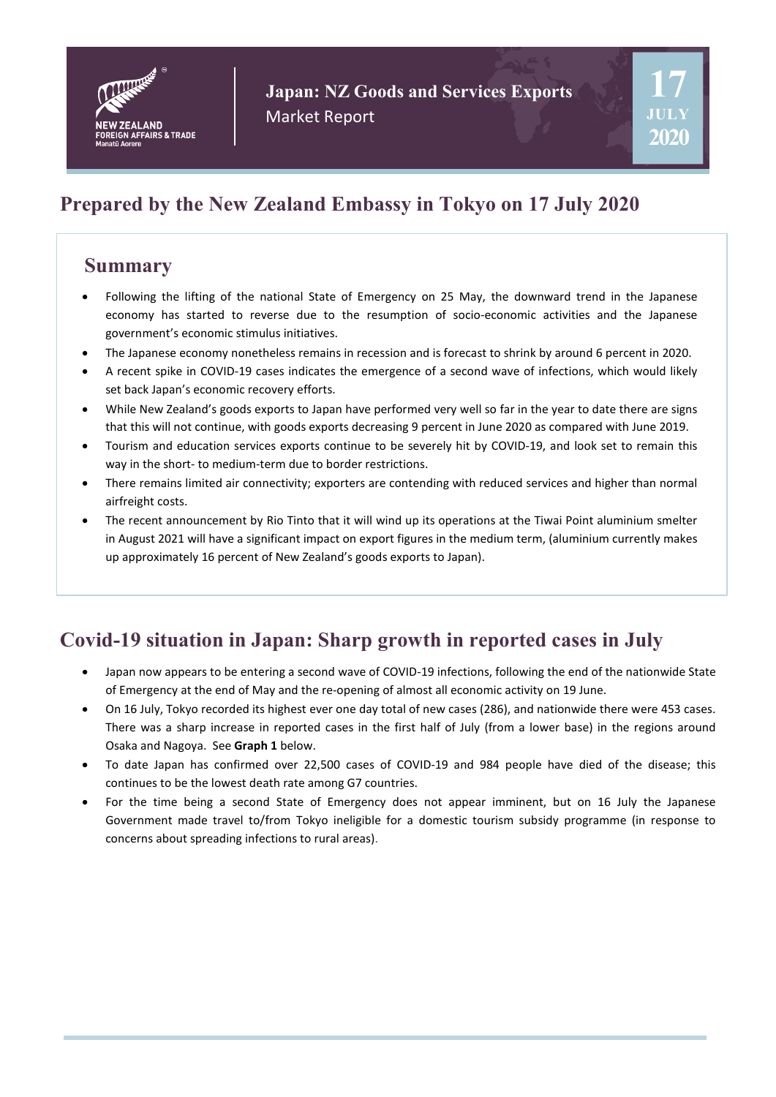

**Japan: NZ Goods and Services Exports** Market Report

# **Prepared by the New Zealand Embassy in Tokyo on 17 July 2020**

### **Summary**

- Following the lifting of the national State of Emergency on 25 May, the downward trend in the Japanese economy has started to reverse due to the resumption of socio-economic activities and the Japanese government's economic stimulus initiatives.
- The Japanese economy nonetheless remains in recession and is forecast to shrink by around 6 percent in 2020.
- A recent spike in COVID-19 cases indicates the emergence of a second wave of infections, which would likely set back Japan's economic recovery efforts.
- While New Zealand's goods exports to Japan have performed very well so far in the year to date there are signs that this will not continue, with goods exports decreasing 9 percent in June 2020 as compared with June 2019.
- Tourism and education services exports continue to be severely hit by COVID-19, and look set to remain this way in the short- to medium-term due to border restrictions.
- There remains limited air connectivity; exporters are contending with reduced services and higher than normal airfreight costs.
- The recent announcement by Rio Tinto that it will wind up its operations at the Tiwai Point aluminium smelter in August 2021 will have a significant impact on export figures in the medium term, (aluminium currently makes up approximately 16 percent of New Zealand's goods exports to Japan).

# **Covid-19 situation in Japan: Sharp growth in reported cases in July**

- Japan now appears to be entering a second wave of COVID-19 infections, following the end of the nationwide State of Emergency at the end of May and the re-opening of almost all economic activity on 19 June.
- On 16 July, Tokyo recorded its highest ever one day total of new cases (286), and nationwide there were 453 cases. There was a sharp increase in reported cases in the first half of July (from a lower base) in the regions around Osaka and Nagoya. See **Graph 1** below.
- To date Japan has confirmed over 22,500 cases of COVID-19 and 984 people have died of the disease; this continues to be the lowest death rate among G7 countries.
- For the time being a second State of Emergency does not appear imminent, but on 16 July the Japanese Government made travel to/from Tokyo ineligible for a domestic tourism subsidy programme (in response to concerns about spreading infections to rural areas).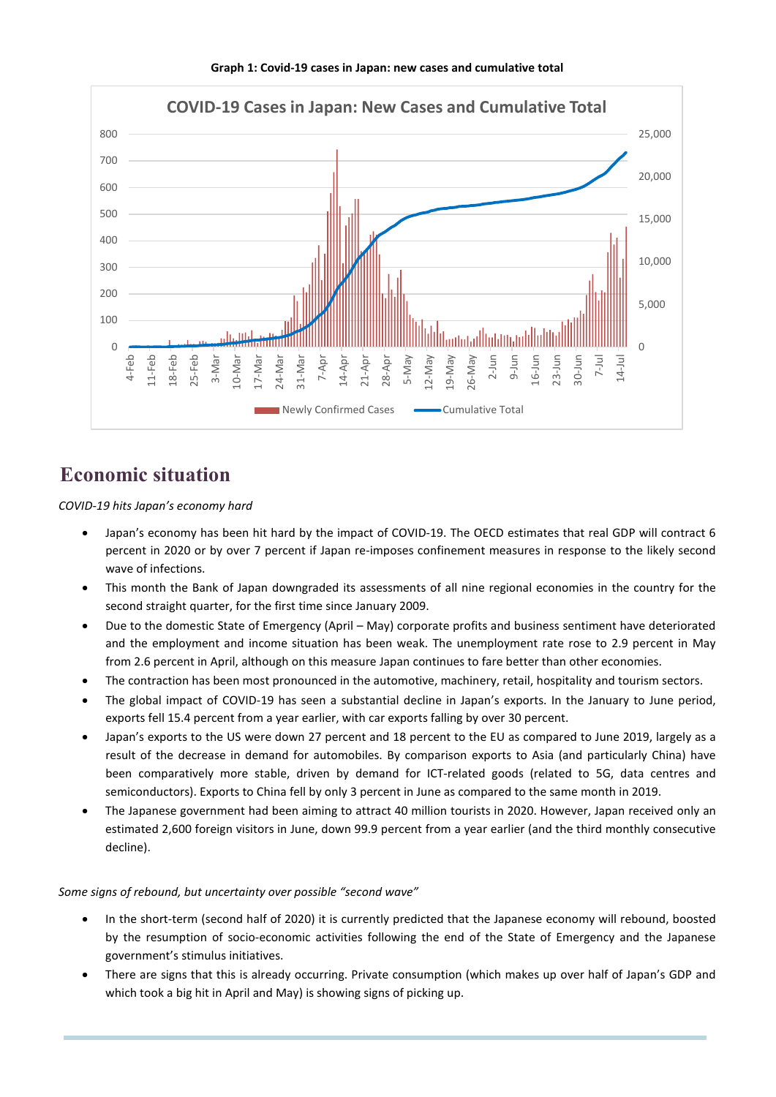

#### **Graph 1: Covid-19 cases in Japan: new cases and cumulative total**

## **Economic situation**

*COVID-19 hits Japan's economy hard* 

- Japan's economy has been hit hard by the impact of COVID-19. The OECD estimates that real GDP will contract 6 percent in 2020 or by over 7 percent if Japan re-imposes confinement measures in response to the likely second wave of infections.
- This month the Bank of Japan downgraded its assessments of all nine regional economies in the country for the second straight quarter, for the first time since January 2009.
- Due to the domestic State of Emergency (April May) corporate profits and business sentiment have deteriorated and the employment and income situation has been weak. The unemployment rate rose to 2.9 percent in May from 2.6 percent in April, although on this measure Japan continues to fare better than other economies.
- The contraction has been most pronounced in the automotive, machinery, retail, hospitality and tourism sectors.
- The global impact of COVID-19 has seen a substantial decline in Japan's exports. In the January to June period, exports fell 15.4 percent from a year earlier, with car exports falling by over 30 percent.
- Japan's exports to the US were down 27 percent and 18 percent to the EU as compared to June 2019, largely as a result of the decrease in demand for automobiles. By comparison exports to Asia (and particularly China) have been comparatively more stable, driven by demand for ICT-related goods (related to 5G, data centres and semiconductors). Exports to China fell by only 3 percent in June as compared to the same month in 2019.
- The Japanese government had been aiming to attract 40 million tourists in 2020. However, Japan received only an estimated 2,600 foreign visitors in June, down 99.9 percent from a year earlier (and the third monthly consecutive decline).

#### *Some signs of rebound, but uncertainty over possible "second wave"*

- In the short-term (second half of 2020) it is currently predicted that the Japanese economy will rebound, boosted by the resumption of socio-economic activities following the end of the State of Emergency and the Japanese government's stimulus initiatives.
- There are signs that this is already occurring. Private consumption (which makes up over half of Japan's GDP and which took a big hit in April and May) is showing signs of picking up.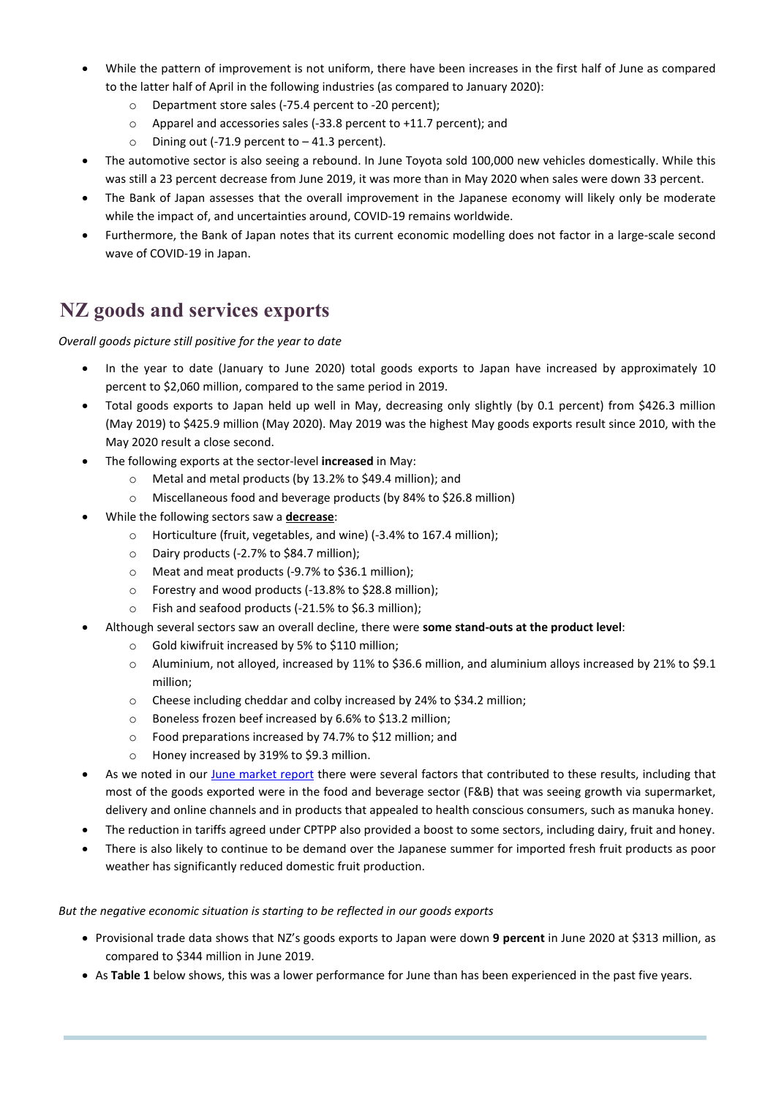- While the pattern of improvement is not uniform, there have been increases in the first half of June as compared to the latter half of April in the following industries (as compared to January 2020):
	- o Department store sales (-75.4 percent to -20 percent);
	- o Apparel and accessories sales (-33.8 percent to +11.7 percent); and
	- $\circ$  Dining out (-71.9 percent to -41.3 percent).
- The automotive sector is also seeing a rebound. In June Toyota sold 100,000 new vehicles domestically. While this was still a 23 percent decrease from June 2019, it was more than in May 2020 when sales were down 33 percent.
- The Bank of Japan assesses that the overall improvement in the Japanese economy will likely only be moderate while the impact of, and uncertainties around, COVID-19 remains worldwide.
- Furthermore, the Bank of Japan notes that its current economic modelling does not factor in a large-scale second wave of COVID-19 in Japan.

## **NZ goods and services exports**

#### *Overall goods picture still positive for the year to date*

- In the year to date (January to June 2020) total goods exports to Japan have increased by approximately 10 percent to \$2,060 million, compared to the same period in 2019.
- Total goods exports to Japan held up well in May, decreasing only slightly (by 0.1 percent) from \$426.3 million (May 2019) to \$425.9 million (May 2020). May 2019 was the highest May goods exports result since 2010, with the May 2020 result a close second.
- The following exports at the sector-level **increased** in May:
	- o Metal and metal products (by 13.2% to \$49.4 million); and
	- o Miscellaneous food and beverage products (by 84% to \$26.8 million)
- While the following sectors saw a **decrease**:
	- o Horticulture (fruit, vegetables, and wine) (-3.4% to 167.4 million);
	- o Dairy products (-2.7% to \$84.7 million);
	- o Meat and meat products (-9.7% to \$36.1 million);
	- o Forestry and wood products (-13.8% to \$28.8 million);
	- o Fish and seafood products (-21.5% to \$6.3 million);
- Although several sectors saw an overall decline, there were **some stand-outs at the product level**:
	- o Gold kiwifruit increased by 5% to \$110 million;
	- o Aluminium, not alloyed, increased by 11% to \$36.6 million, and aluminium alloys increased by 21% to \$9.1 million;
	- o Cheese including cheddar and colby increased by 24% to \$34.2 million;
	- o Boneless frozen beef increased by 6.6% to \$13.2 million;
	- o Food preparations increased by 74.7% to \$12 million; and
	- o Honey increased by 319% to \$9.3 million.
- As we noted in our [June market report](https://www.mfat.govt.nz/en/media-and-resources/publications/report-on-nz-goods-exports-to-japan-19-june-2020/) there were several factors that contributed to these results, including that most of the goods exported were in the food and beverage sector (F&B) that was seeing growth via supermarket, delivery and online channels and in products that appealed to health conscious consumers, such as manuka honey.
- The reduction in tariffs agreed under CPTPP also provided a boost to some sectors, including dairy, fruit and honey.
- There is also likely to continue to be demand over the Japanese summer for imported fresh fruit products as poor weather has significantly reduced domestic fruit production.

#### *But the negative economic situation is starting to be reflected in our goods exports*

- Provisional trade data shows that NZ's goods exports to Japan were down **9 percent** in June 2020 at \$313 million, as compared to \$344 million in June 2019.
- As **Table 1** below shows, this was a lower performance for June than has been experienced in the past five years.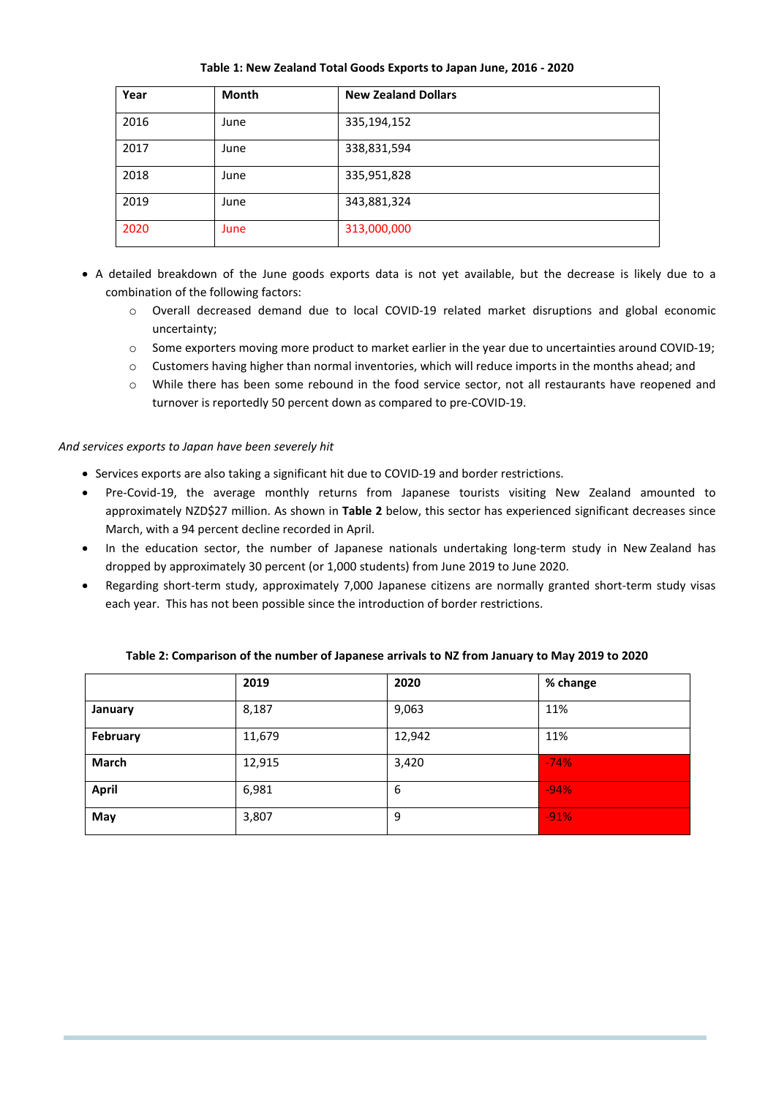**Table 1: New Zealand Total Goods Exports to Japan June, 2016 - 2020**

| Year | <b>Month</b> | <b>New Zealand Dollars</b> |
|------|--------------|----------------------------|
| 2016 | June         | 335,194,152                |
| 2017 | June         | 338,831,594                |
| 2018 | June         | 335,951,828                |
| 2019 | June         | 343,881,324                |
| 2020 | June         | 313,000,000                |

- A detailed breakdown of the June goods exports data is not yet available, but the decrease is likely due to a combination of the following factors:
	- o Overall decreased demand due to local COVID-19 related market disruptions and global economic uncertainty;
	- o Some exporters moving more product to market earlier in the year due to uncertainties around COVID-19;
	- $\circ$  Customers having higher than normal inventories, which will reduce imports in the months ahead; and
	- o While there has been some rebound in the food service sector, not all restaurants have reopened and turnover is reportedly 50 percent down as compared to pre-COVID-19.

#### *And services exports to Japan have been severely hit*

- Services exports are also taking a significant hit due to COVID-19 and border restrictions.
- Pre-Covid-19, the average monthly returns from Japanese tourists visiting New Zealand amounted to approximately NZD\$27 million. As shown in **Table 2** below, this sector has experienced significant decreases since March, with a 94 percent decline recorded in April.
- In the education sector, the number of Japanese nationals undertaking long-term study in New Zealand has dropped by approximately 30 percent (or 1,000 students) from June 2019 to June 2020.
- Regarding short-term study, approximately 7,000 Japanese citizens are normally granted short-term study visas each year. This has not been possible since the introduction of border restrictions.

|              | 2019   | 2020   | % change |
|--------------|--------|--------|----------|
| January      | 8,187  | 9,063  | 11%      |
| February     | 11,679 | 12,942 | 11%      |
| March        | 12,915 | 3,420  | $-74%$   |
| <b>April</b> | 6,981  | 6      | $-94%$   |
| May          | 3,807  | 9      | $-91%$   |

**Table 2: Comparison of the number of Japanese arrivals to NZ from January to May 2019 to 2020**